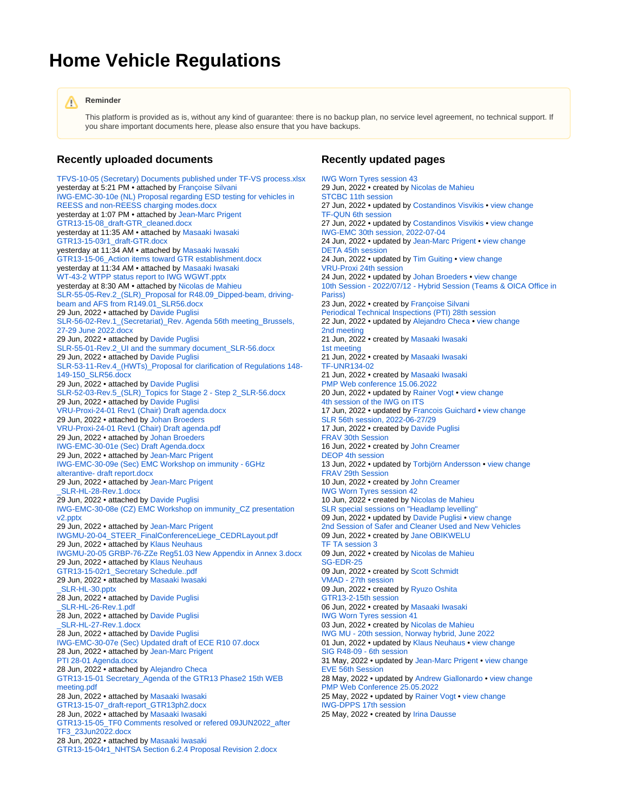## **Home Vehicle Regulations**

## **Reminder** Λ

This platform is provided as is, without any kind of guarantee: there is no backup plan, no service level agreement, no technical support. If you share important documents here, please also ensure that you have backups.

## **Recently uploaded documents**

[TFVS-10-05 \(Secretary\) Documents published under TF-VS process.xlsx](https://wiki.unece.org/pages/viewpage.action?pageId=172851945&preview=%2F172851945%2F172852159%2FTFVS-10-05+%28Secretary%29+Documents+published+under+TF-VS+process.xlsx) yesterday at 5:21 PM • attached by [Françoise Silvani](https://wiki.unece.org/display/~silvani) [IWG-EMC-30-10e \(NL\) Proposal regarding ESD testing for vehicles in](https://wiki.unece.org/display/trans/IWG-EMC+30th+session%2C+2022-07-04?preview=%2F172851986%2F172852158%2FIWG-EMC-30-10e+%28NL%29+Proposal+regarding+ESD+testing+for+vehicles+in+REESS+and+non-REESS+charging+modes.docx)  [REESS and non-REESS charging modes.docx](https://wiki.unece.org/display/trans/IWG-EMC+30th+session%2C+2022-07-04?preview=%2F172851986%2F172852158%2FIWG-EMC-30-10e+%28NL%29+Proposal+regarding+ESD+testing+for+vehicles+in+REESS+and+non-REESS+charging+modes.docx) yesterday at 1:07 PM • attached by [Jean-Marc Prigent](https://wiki.unece.org/display/~prigent) [GTR13-15-08\\_draft-GTR\\_cleaned.docx](https://wiki.unece.org/display/trans/GTR13-2-15th+session?preview=%2F171868208%2F172852157%2FGTR13-15-08_draft-GTR_cleaned.docx) yesterday at 11:35 AM • attached by [Masaaki Iwasaki](https://wiki.unece.org/display/~miwasaki) [GTR13-15-03r1\\_draft-GTR.docx](https://wiki.unece.org/display/trans/GTR13-2-15th+session?preview=%2F171868208%2F172852156%2FGTR13-15-03r1_draft-GTR.docx) yesterday at 11:34 AM · attached by [Masaaki Iwasaki](https://wiki.unece.org/display/~miwasaki) [GTR13-15-06\\_Action items toward GTR establishment.docx](https://wiki.unece.org/display/trans/GTR13-2-15th+session?preview=%2F171868208%2F172852155%2FGTR13-15-06_Action+items+toward+GTR+establishment.docx) yesterday at 11:34 AM • attached by [Masaaki Iwasaki](https://wiki.unece.org/display/~miwasaki) [WT-43-2 WTPP status report to IWG WGWT.pptx](https://wiki.unece.org/display/trans/IWG+Worn+Tyres+session+43?preview=%2F172852139%2F172852152%2FWT-43-2++WTPP+status+report+to+IWG+WGWT.pptx) yesterday at 8:30 AM • attached by [Nicolas de Mahieu](https://wiki.unece.org/display/~mahieu) [SLR-55-05-Rev.2\\_\(SLR\)\\_Proposal for R48.09\\_Dipped-beam, driving](https://wiki.unece.org/pages/viewpage.action?pageId=169017590&preview=%2F169017590%2F172852150%2FSLR-55-05-Rev.2_%28SLR%29_Proposal+for+R48.09_Dipped-beam%2C+driving-beam+and+AFS+from+R149.01_SLR56.docx)[beam and AFS from R149.01\\_SLR56.docx](https://wiki.unece.org/pages/viewpage.action?pageId=169017590&preview=%2F169017590%2F172852150%2FSLR-55-05-Rev.2_%28SLR%29_Proposal+for+R48.09_Dipped-beam%2C+driving-beam+and+AFS+from+R149.01_SLR56.docx) 29 Jun, 2022 • attached by [Davide Puglisi](https://wiki.unece.org/display/~puglisi) [SLR-56-02-Rev.1\\_\(Secretariat\)\\_Rev. Agenda 56th meeting\\_Brussels,](https://wiki.unece.org/pages/viewpage.action?pageId=172851509&preview=%2F172851509%2F172852149%2FSLR-56-02-Rev.1_%28Secretariat%29_Rev.+Agenda+56th+meeting_Brussels%2C+27-29+June+2022.docx)  [27-29 June 2022.docx](https://wiki.unece.org/pages/viewpage.action?pageId=172851509&preview=%2F172851509%2F172852149%2FSLR-56-02-Rev.1_%28Secretariat%29_Rev.+Agenda+56th+meeting_Brussels%2C+27-29+June+2022.docx) 29 Jun, 2022 • attached by [Davide Puglisi](https://wiki.unece.org/display/~puglisi) [SLR-55-01-Rev.2\\_UI and the summary document\\_SLR-56.docx](https://wiki.unece.org/pages/viewpage.action?pageId=169017590&preview=%2F169017590%2F172852148%2FSLR-55-01-Rev.2_UI+and+the+summary+document_SLR-56.docx) 29 Jun, 2022 • attached by [Davide Puglisi](https://wiki.unece.org/display/~puglisi) [SLR-53-11-Rev.4\\_\(HWTs\)\\_Proposal for clarification of Regulations 148-](https://wiki.unece.org/pages/viewpage.action?pageId=151879747&preview=%2F151879747%2F172852147%2FSLR-53-11-Rev.4_%28HWTs%29_Proposal+for+clarification+of+Regulations+148-149-150_SLR56.docx) [149-150\\_SLR56.docx](https://wiki.unece.org/pages/viewpage.action?pageId=151879747&preview=%2F151879747%2F172852147%2FSLR-53-11-Rev.4_%28HWTs%29_Proposal+for+clarification+of+Regulations+148-149-150_SLR56.docx) 29 Jun, 2022 • attached by [Davide Puglisi](https://wiki.unece.org/display/~puglisi) SLR-52-03-Rev.5 (SLR) Topics for Stage 2 - Step 2\_SLR-56.docx 29 Jun, 2022 • attached by [Davide Puglisi](https://wiki.unece.org/display/~puglisi) [VRU-Proxi-24-01 Rev1 \(Chair\) Draft agenda.docx](https://wiki.unece.org/display/trans/VRU-Proxi+24th+session?preview=%2F172851979%2F172852145%2FVRU-Proxi-24-01+Rev1+%28Chair%29+Draft+agenda.docx) 29 Jun, 2022 • attached by [Johan Broeders](https://wiki.unece.org/display/~jbroeders) [VRU-Proxi-24-01 Rev1 \(Chair\) Draft agenda.pdf](https://wiki.unece.org/display/trans/VRU-Proxi+24th+session?preview=%2F172851979%2F172852143%2FVRU-Proxi-24-01+Rev1+%28Chair%29+Draft+agenda.pdf) 29 Jun, 2022 • attached by [Johan Broeders](https://wiki.unece.org/display/~jbroeders) [IWG-EMC-30-01e \(Sec\) Draft Agenda.docx](https://wiki.unece.org/display/trans/IWG-EMC+30th+session%2C+2022-07-04?preview=%2F172851986%2F172852142%2FIWG-EMC-30-01e+%28Sec%29+Draft+Agenda.docx) 29 Jun, 2022 • attached by [Jean-Marc Prigent](https://wiki.unece.org/display/~prigent) [IWG-EMC-30-09e \(Sec\) EMC Workshop on immunity - 6GHz](https://wiki.unece.org/display/trans/IWG-EMC+30th+session%2C+2022-07-04?preview=%2F172851986%2F172852141%2FIWG-EMC-30-09e+%28Sec%29+EMC+Workshop+on+immunity+-+6GHz+alterantive-+draft+report.docx)  [alterantive- draft report.docx](https://wiki.unece.org/display/trans/IWG-EMC+30th+session%2C+2022-07-04?preview=%2F172851986%2F172852141%2FIWG-EMC-30-09e+%28Sec%29+EMC+Workshop+on+immunity+-+6GHz+alterantive-+draft+report.docx) 29 Jun, 2022 • attached by [Jean-Marc Prigent](https://wiki.unece.org/display/~prigent) [\\_SLR-HL-28-Rev.1.docx](https://wiki.unece.org/pages/viewpage.action?pageId=113345289&preview=%2F113345289%2F172852140%2F_SLR-HL-28-Rev.1.docx) 29 Jun, 2022 • attached by [Davide Puglisi](https://wiki.unece.org/display/~puglisi) [IWG-EMC-30-08e \(CZ\) EMC Workshop on immunity\\_CZ presentation](https://wiki.unece.org/display/trans/IWG-EMC+30th+session%2C+2022-07-04?preview=%2F172851986%2F172852115%2FIWG-EMC-30-08e+%28CZ%29+EMC+Workshop+on+immunity_CZ+presentation+v2.pptx)  [v2.pptx](https://wiki.unece.org/display/trans/IWG-EMC+30th+session%2C+2022-07-04?preview=%2F172851986%2F172852115%2FIWG-EMC-30-08e+%28CZ%29+EMC+Workshop+on+immunity_CZ+presentation+v2.pptx) 29 Jun, 2022 • attached by [Jean-Marc Prigent](https://wiki.unece.org/display/~prigent) [IWGMU-20-04\\_STEER\\_FinalConferenceLiege\\_CEDRLayout.pdf](https://wiki.unece.org/display/trans/IWG+MU+-+20th+session%2C+Norway+hybrid%2C+June+2022?preview=%2F169018323%2F172852099%2FIWGMU-20-04_STEER_FinalConferenceLiege_CEDRLayout.pdf) 29 Jun, 2022 • attached by [Klaus Neuhaus](https://wiki.unece.org/display/~kneuhaus) [IWGMU-20-05 GRBP-76-ZZe Reg51.03 New Appendix in Annex 3.docx](https://wiki.unece.org/display/trans/IWG+MU+-+20th+session%2C+Norway+hybrid%2C+June+2022?preview=%2F169018323%2F172852098%2FIWGMU-20-05+GRBP-76-ZZe++Reg51.03+New+Appendix+in+Annex+3.docx) 29 Jun, 2022 • attached by [Klaus Neuhaus](https://wiki.unece.org/display/~kneuhaus) [GTR13-15-02r1\\_Secretary Schedule..pdf](https://wiki.unece.org/display/trans/GTR13-2-15th+session?preview=%2F171868208%2F172852097%2FGTR13-15-02r1_Secretary++Schedule..pdf) 29 Jun, 2022 • attached by [Masaaki Iwasaki](https://wiki.unece.org/display/~miwasaki) [\\_SLR-HL-30.pptx](https://wiki.unece.org/pages/viewpage.action?pageId=113345289&preview=%2F113345289%2F172852093%2F_SLR-HL-30.pptx) 28 Jun, 2022 • attached by [Davide Puglisi](https://wiki.unece.org/display/~puglisi) [\\_SLR-HL-26-Rev.1.pdf](https://wiki.unece.org/pages/viewpage.action?pageId=113345289&preview=%2F113345289%2F172852094%2F_SLR-HL-26-Rev.1.pdf) 28 Jun, 2022 • attached by [Davide Puglisi](https://wiki.unece.org/display/~puglisi) [\\_SLR-HL-27-Rev.1.docx](https://wiki.unece.org/pages/viewpage.action?pageId=113345289&preview=%2F113345289%2F172852095%2F_SLR-HL-27-Rev.1.docx) 28 Jun, 2022 • attached by [Davide Puglisi](https://wiki.unece.org/display/~puglisi) [IWG-EMC-30-07e \(Sec\) Updated draft of ECE R10 07.docx](https://wiki.unece.org/display/trans/IWG-EMC+30th+session%2C+2022-07-04?preview=%2F172851986%2F172852085%2FIWG-EMC-30-07e+%28Sec%29+Updated+draft+of+ECE+R10+07.docx) 28 Jun, 2022 • attached by [Jean-Marc Prigent](https://wiki.unece.org/display/~prigent) [PTI 28-01 Agenda.docx](https://wiki.unece.org/display/trans/Periodical+Technical+Inspections+%28PTI%29+28th+session?preview=%2F171868219%2F172852080%2FPTI+28-01+Agenda.docx) 28 Jun, 2022 • attached by [Alejandro Checa](https://wiki.unece.org/display/~acheca) [GTR13-15-01 Secretary\\_Agenda of the GTR13 Phase2 15th WEB](https://wiki.unece.org/display/trans/GTR13-2-15th+session?preview=%2F171868208%2F172852078%2FGTR13-15-01++Secretary_Agenda+of+the+GTR13+Phase2+15th+WEB+meeting.pdf)  [meeting.pdf](https://wiki.unece.org/display/trans/GTR13-2-15th+session?preview=%2F171868208%2F172852078%2FGTR13-15-01++Secretary_Agenda+of+the+GTR13+Phase2+15th+WEB+meeting.pdf) 28 Jun, 2022 • attached by [Masaaki Iwasaki](https://wiki.unece.org/display/~miwasaki) [GTR13-15-07\\_draft-report\\_GTR13ph2.docx](https://wiki.unece.org/display/trans/GTR13-2-15th+session?preview=%2F171868208%2F172852077%2FGTR13-15-07_draft-report_GTR13ph2.docx) 28 Jun, 2022 • attached by [Masaaki Iwasaki](https://wiki.unece.org/display/~miwasaki) [GTR13-15-05\\_TF0 Comments resolved or refered 09JUN2022\\_after](https://wiki.unece.org/display/trans/GTR13-2-15th+session?preview=%2F171868208%2F172852076%2FGTR13-15-05_TF0+Comments+resolved+or+refered+09JUN2022_after+TF3_23Jun2022.docx)  [TF3\\_23Jun2022.docx](https://wiki.unece.org/display/trans/GTR13-2-15th+session?preview=%2F171868208%2F172852076%2FGTR13-15-05_TF0+Comments+resolved+or+refered+09JUN2022_after+TF3_23Jun2022.docx) 28 Jun, 2022 • attached by [Masaaki Iwasaki](https://wiki.unece.org/display/~miwasaki) [GTR13-15-04r1\\_NHTSA Section 6.2.4 Proposal Revision 2.docx](https://wiki.unece.org/display/trans/GTR13-2-15th+session?preview=%2F171868208%2F172852075%2FGTR13-15-04r1_NHTSA+Section+6.2.4+Proposal+Revision+2.docx)

## **Recently updated pages**

[IWG Worn Tyres session 43](https://wiki.unece.org/display/trans/IWG+Worn+Tyres+session+43) 29 Jun, 2022 • created by [Nicolas de Mahieu](https://wiki.unece.org/display/~mahieu) [STCBC 11th session](https://wiki.unece.org/display/trans/STCBC+11th+session) 27 Jun, 2022 • updated by [Costandinos Visvikis](https://wiki.unece.org/display/~cvisvikis) • [view change](https://wiki.unece.org/pages/diffpagesbyversion.action?pageId=172852046&selectedPageVersions=2&selectedPageVersions=1) [TF-QUN 6th session](https://wiki.unece.org/display/trans/TF-QUN+6th+session) 27 Jun, 2022 • updated by [Costandinos Visvikis](https://wiki.unece.org/display/~cvisvikis) • [view change](https://wiki.unece.org/pages/diffpagesbyversion.action?pageId=172852041&selectedPageVersions=3&selectedPageVersions=2) [IWG-EMC 30th session, 2022-07-04](https://wiki.unece.org/display/trans/IWG-EMC+30th+session%2C+2022-07-04) 24 Jun, 2022 • updated by [Jean-Marc Prigent](https://wiki.unece.org/display/~prigent) • [view change](https://wiki.unece.org/pages/diffpagesbyversion.action?pageId=172851986&selectedPageVersions=3&selectedPageVersions=2) [DETA 45th session](https://wiki.unece.org/display/trans/DETA+45th+session) 24 Jun, 2022 • updated by [Tim Guiting](https://wiki.unece.org/display/~guiting) • [view change](https://wiki.unece.org/pages/diffpagesbyversion.action?pageId=172851382&selectedPageVersions=2&selectedPageVersions=1) [VRU-Proxi 24th session](https://wiki.unece.org/display/trans/VRU-Proxi+24th+session) 24 Jun, 2022 • updated by [Johan Broeders](https://wiki.unece.org/display/~jbroeders) • [view change](https://wiki.unece.org/pages/diffpagesbyversion.action?pageId=172851979&selectedPageVersions=2&selectedPageVersions=1) [10th Session - 2022/07/12 - Hybrid Session \(Teams & OICA Office in](https://wiki.unece.org/pages/viewpage.action?pageId=172851945)  [Pariss\)](https://wiki.unece.org/pages/viewpage.action?pageId=172851945) 23 Jun, 2022 • created by [Françoise Silvani](https://wiki.unece.org/display/~silvani) [Periodical Technical Inspections \(PTI\) 28th session](https://wiki.unece.org/display/trans/Periodical+Technical+Inspections+%28PTI%29+28th+session) 22 Jun, 2022 • updated by [Alejandro Checa](https://wiki.unece.org/display/~acheca) • [view change](https://wiki.unece.org/pages/diffpagesbyversion.action?pageId=171868219&selectedPageVersions=2&selectedPageVersions=1) [2nd meeting](https://wiki.unece.org/display/trans/2nd+meeting) 21 Jun, 2022 • created by [Masaaki Iwasaki](https://wiki.unece.org/display/~miwasaki) [1st meeting](https://wiki.unece.org/display/trans/1st+meeting) 21 Jun, 2022 • created by [Masaaki Iwasaki](https://wiki.unece.org/display/~miwasaki) [TF-UNR134-02](https://wiki.unece.org/display/trans/TF-UNR134-02) 21 Jun, 2022 • created by [Masaaki Iwasaki](https://wiki.unece.org/display/~miwasaki) [PMP Web conference 15.06.2022](https://wiki.unece.org/display/trans/PMP+Web+conference+15.06.2022) 20 Jun, 2022 • updated by [Rainer Vogt](https://wiki.unece.org/display/~rvogt) • [view change](https://wiki.unece.org/pages/diffpagesbyversion.action?pageId=172851532&selectedPageVersions=2&selectedPageVersions=1) [4th session of the IWG on ITS](https://wiki.unece.org/display/trans/4th+session+of+the+IWG+on+ITS) 17 Jun, 2022 • updated by [Francois Guichard](https://wiki.unece.org/display/~Guichard) • [view change](https://wiki.unece.org/pages/diffpagesbyversion.action?pageId=169018289&selectedPageVersions=6&selectedPageVersions=5) [SLR 56th session, 2022-06-27/29](https://wiki.unece.org/pages/viewpage.action?pageId=172851509) 17 Jun, 2022 • created by [Davide Puglisi](https://wiki.unece.org/display/~puglisi) [FRAV 30th Session](https://wiki.unece.org/display/trans/FRAV+30th+Session) 16 Jun, 2022 • created by [John Creamer](https://wiki.unece.org/display/~jcreamer) [DEOP 4th session](https://wiki.unece.org/display/trans/DEOP+4th+session) 13 Jun, 2022 • updated by [Torbjörn Andersson](https://wiki.unece.org/display/~tandersson) • [view change](https://wiki.unece.org/pages/diffpagesbyversion.action?pageId=172851312&selectedPageVersions=3&selectedPageVersions=2) [FRAV 29th Session](https://wiki.unece.org/display/trans/FRAV+29th+Session) 10 Jun, 2022 • created by [John Creamer](https://wiki.unece.org/display/~jcreamer) [IWG Worn Tyres session 42](https://wiki.unece.org/display/trans/IWG+Worn+Tyres+session+42) 10 Jun, 2022 • created by [Nicolas de Mahieu](https://wiki.unece.org/display/~mahieu) [SLR special sessions on "Headlamp levelling"](https://wiki.unece.org/pages/viewpage.action?pageId=113345289) 09 Jun, 2022 • updated by [Davide Puglisi](https://wiki.unece.org/display/~puglisi) • [view change](https://wiki.unece.org/pages/diffpagesbyversion.action?pageId=113345289&selectedPageVersions=8&selectedPageVersions=7) [2nd Session of Safer and Cleaner Used and New Vehicles](https://wiki.unece.org/display/trans/2nd+Session+of+Safer+and+Cleaner+Used+and+New+Vehicles) 09 Jun, 2022 • created by [Jane OBIKWELU](https://wiki.unece.org/display/~OBIKWELU) [TF TA session 3](https://wiki.unece.org/display/trans/TF+TA+session+3) 09 Jun, 2022 • created by [Nicolas de Mahieu](https://wiki.unece.org/display/~mahieu) [SG-EDR-25](https://wiki.unece.org/display/trans/SG-EDR-25) 09 Jun, 2022 • created by [Scott Schmidt](https://wiki.unece.org/display/~sschmidt) [VMAD - 27th session](https://wiki.unece.org/display/trans/VMAD+-+27th+session) 09 Jun, 2022 • created by [Ryuzo Oshita](https://wiki.unece.org/display/~oshita) [GTR13-2-15th session](https://wiki.unece.org/display/trans/GTR13-2-15th+session) 06 Jun, 2022 • created by [Masaaki Iwasaki](https://wiki.unece.org/display/~miwasaki) [IWG Worn Tyres session 41](https://wiki.unece.org/display/trans/IWG+Worn+Tyres+session+41) 03 Jun, 2022 • created by [Nicolas de Mahieu](https://wiki.unece.org/display/~mahieu) [IWG MU - 20th session, Norway hybrid, June 2022](https://wiki.unece.org/display/trans/IWG+MU+-+20th+session%2C+Norway+hybrid%2C+June+2022) 01 Jun, 2022 • updated by [Klaus Neuhaus](https://wiki.unece.org/display/~kneuhaus) • [view change](https://wiki.unece.org/pages/diffpagesbyversion.action?pageId=169018323&selectedPageVersions=3&selectedPageVersions=2) [SIG R48-09 - 6th session](https://wiki.unece.org/display/trans/SIG+R48-09+-+6th+session) 31 May, 2022 • updated by [Jean-Marc Prigent](https://wiki.unece.org/display/~prigent) • [view change](https://wiki.unece.org/pages/diffpagesbyversion.action?pageId=169018284&selectedPageVersions=2&selectedPageVersions=1) [EVE 56th Session](https://wiki.unece.org/display/trans/EVE+56th+Session) 28 May, 2022 • updated by [Andrew Giallonardo](https://wiki.unece.org/display/~giallonardo) • [view change](https://wiki.unece.org/pages/diffpagesbyversion.action?pageId=166724906&selectedPageVersions=3&selectedPageVersions=2) [PMP Web Conference 25.05.2022](https://wiki.unece.org/display/trans/PMP+Web+Conference+25.05.2022) 25 May, 2022 • updated by [Rainer Vogt](https://wiki.unece.org/display/~rvogt) • [view change](https://wiki.unece.org/pages/diffpagesbyversion.action?pageId=169017967&selectedPageVersions=3&selectedPageVersions=2) [IWG-DPPS 17th session](https://wiki.unece.org/display/trans/IWG-DPPS+17th+session) 25 May, 2022 • created by [Irina Dausse](https://wiki.unece.org/display/~idausse)